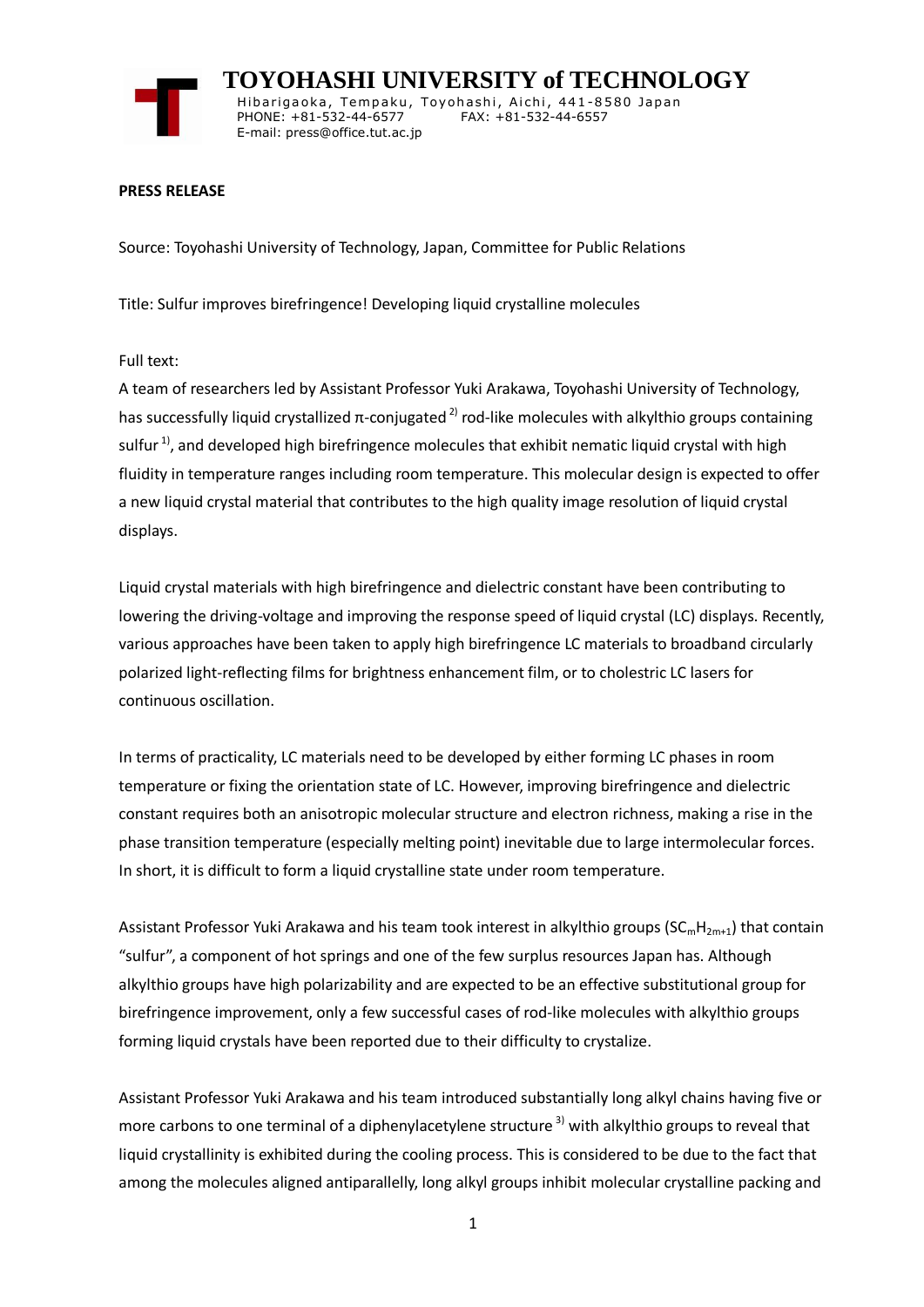

 **TOYOHASHI UNIVERSITY of TECHNOLOGY** Hibarigaoka, Tempaku, Toyohashi, Aichi, 441-8580 Japan PHONE: +81-532-44-6577 FAX: +81-532-44-6557 E-mail: press@office.tut.ac.jp

### **PRESS RELEASE**

Source: Toyohashi University of Technology, Japan, Committee for Public Relations

Title: Sulfur improves birefringence! Developing liquid crystalline molecules

Full text:

A team of researchers led by Assistant Professor Yuki Arakawa, Toyohashi University of Technology, has successfully liquid crystallized π-conjugated  $^{2}$  rod-like molecules with alkylthio groups containing sulfur<sup>1)</sup>, and developed high birefringence molecules that exhibit nematic liquid crystal with high fluidity in temperature ranges including room temperature. This molecular design is expected to offer a new liquid crystal material that contributes to the high quality image resolution of liquid crystal displays.

Liquid crystal materials with high birefringence and dielectric constant have been contributing to lowering the driving-voltage and improving the response speed of liquid crystal (LC) displays. Recently, various approaches have been taken to apply high birefringence LC materials to broadband circularly polarized light-reflecting films for brightness enhancement film, or to cholestric LC lasers for continuous oscillation.

In terms of practicality, LC materials need to be developed by either forming LC phases in room temperature or fixing the orientation state of LC. However, improving birefringence and dielectric constant requires both an anisotropic molecular structure and electron richness, making a rise in the phase transition temperature (especially melting point) inevitable due to large intermolecular forces. In short, it is difficult to form a liquid crystalline state under room temperature.

Assistant Professor Yuki Arakawa and his team took interest in alkylthio groups ( $SC<sub>m</sub>H<sub>2m+1</sub>$ ) that contain "sulfur", a component of hot springs and one of the few surplus resources Japan has. Although alkylthio groups have high polarizability and are expected to be an effective substitutional group for birefringence improvement, only a few successful cases of rod-like molecules with alkylthio groups forming liquid crystals have been reported due to their difficulty to crystalize.

Assistant Professor Yuki Arakawa and his team introduced substantially long alkyl chains having five or more carbons to one terminal of a diphenylacetylene structure<sup>3)</sup> with alkylthio groups to reveal that liquid crystallinity is exhibited during the cooling process. This is considered to be due to the fact that among the molecules aligned antiparallelly, long alkyl groups inhibit molecular crystalline packing and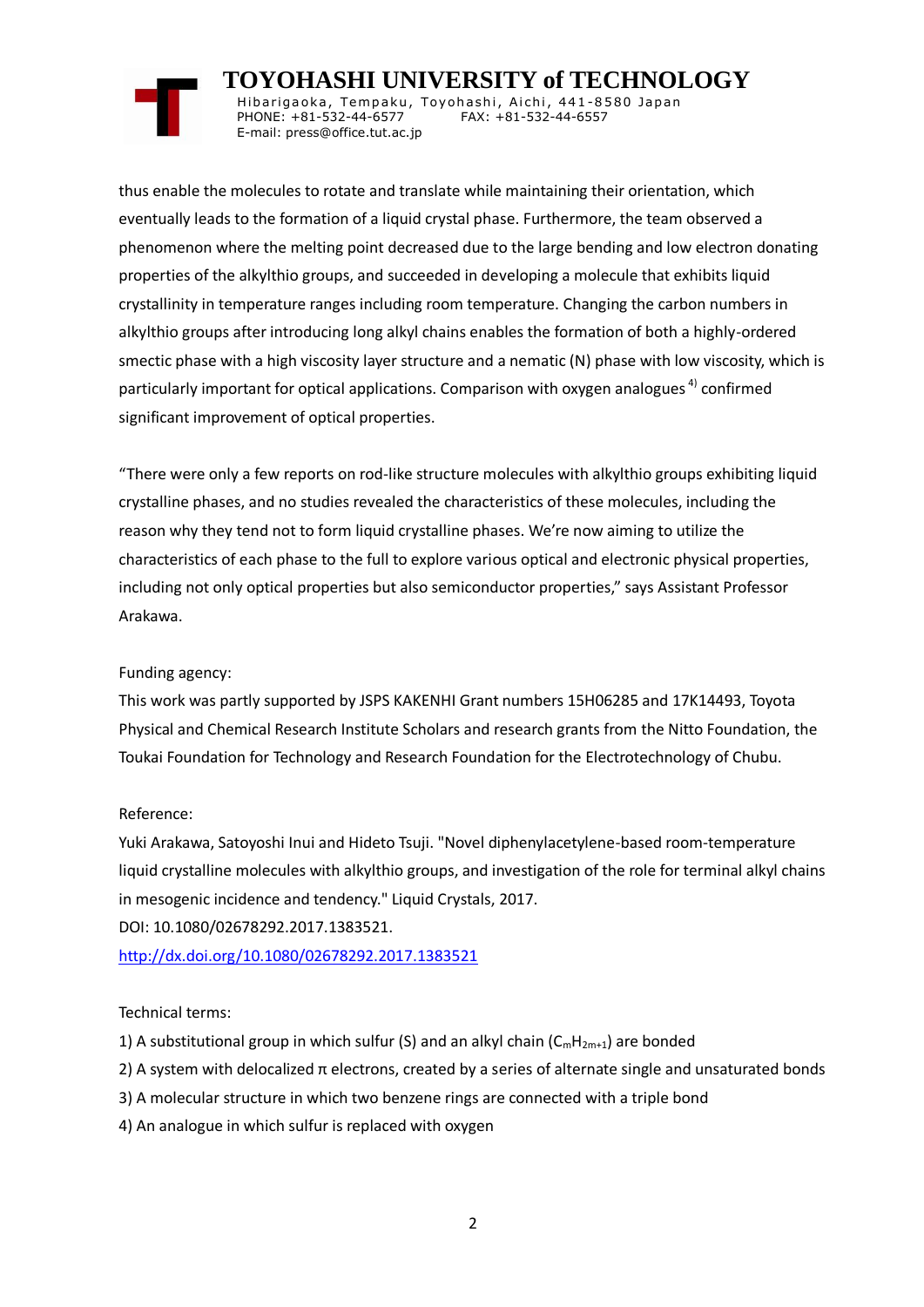# **TOYOHASHI UNIVERSITY of TECHNOLOGY**

Hibarigaoka, Tempaku, Toyohashi, Aichi, 441-8580 Japan PHONE: +81-532-44-6577 FAX: +81-532-44-6557 E-mail: press@office.tut.ac.jp

thus enable the molecules to rotate and translate while maintaining their orientation, which eventually leads to the formation of a liquid crystal phase. Furthermore, the team observed a phenomenon where the melting point decreased due to the large bending and low electron donating properties of the alkylthio groups, and succeeded in developing a molecule that exhibits liquid crystallinity in temperature ranges including room temperature. Changing the carbon numbers in alkylthio groups after introducing long alkyl chains enables the formation of both a highly-ordered smectic phase with a high viscosity layer structure and a nematic (N) phase with low viscosity, which is particularly important for optical applications. Comparison with oxygen analogues  $4)$  confirmed significant improvement of optical properties.

"There were only a few reports on rod-like structure molecules with alkylthio groups exhibiting liquid crystalline phases, and no studies revealed the characteristics of these molecules, including the reason why they tend not to form liquid crystalline phases. We're now aiming to utilize the characteristics of each phase to the full to explore various optical and electronic physical properties, including not only optical properties but also semiconductor properties," says Assistant Professor Arakawa.

## Funding agency:

This work was partly supported by JSPS KAKENHI Grant numbers 15H06285 and 17K14493, Toyota Physical and Chemical Research Institute Scholars and research grants from the Nitto Foundation, the Toukai Foundation for Technology and Research Foundation for the Electrotechnology of Chubu.

## Reference:

Yuki Arakawa, Satoyoshi Inui and Hideto Tsuji. "Novel diphenylacetylene-based room-temperature liquid crystalline molecules with alkylthio groups, and investigation of the role for terminal alkyl chains in mesogenic incidence and tendency." Liquid Crystals, 2017.

DOI: 10.1080/02678292.2017.1383521.

<http://dx.doi.org/10.1080/02678292.2017.1383521>

## Technical terms:

- 1) A substitutional group in which sulfur (S) and an alkyl chain  $(C_mH_{2m+1})$  are bonded
- 2) A system with delocalized  $\pi$  electrons, created by a series of alternate single and unsaturated bonds
- 3) A molecular structure in which two benzene rings are connected with a triple bond
- 4) An analogue in which sulfur is replaced with oxygen